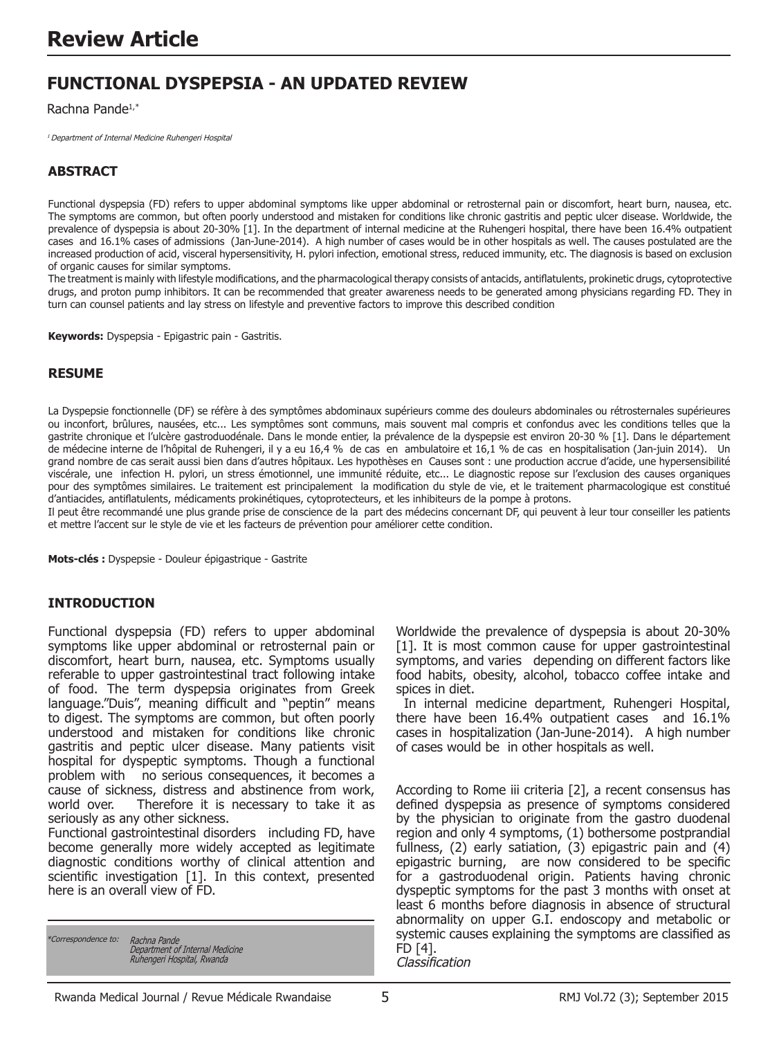# **FUNCTIONAL DYSPEPSIA - AN UPDATED REVIEW**

Rachna Pande1,\*

1 Department of Internal Medicine Ruhengeri Hospital

# **ABSTRACT**

Functional dyspepsia (FD) refers to upper abdominal symptoms like upper abdominal or retrosternal pain or discomfort, heart burn, nausea, etc. The symptoms are common, but often poorly understood and mistaken for conditions like chronic gastritis and peptic ulcer disease. Worldwide, the prevalence of dyspepsia is about 20-30% [1]. In the department of internal medicine at the Ruhengeri hospital, there have been 16.4% outpatient cases and 16.1% cases of admissions (Jan-June-2014). A high number of cases would be in other hospitals as well. The causes postulated are the increased production of acid, visceral hypersensitivity, H. pylori infection, emotional stress, reduced immunity, etc. The diagnosis is based on exclusion of organic causes for similar symptoms.

The treatment is mainly with lifestyle modifications, and the pharmacological therapy consists of antacids, antiflatulents, prokinetic drugs, cytoprotective drugs, and proton pump inhibitors. It can be recommended that greater awareness needs to be generated among physicians regarding FD. They in turn can counsel patients and lay stress on lifestyle and preventive factors to improve this described condition

**Keywords:** Dyspepsia - Epigastric pain - Gastritis.

#### **RESUME**

La Dyspepsie fonctionnelle (DF) se réfère à des symptômes abdominaux supérieurs comme des douleurs abdominales ou rétrosternales supérieures ou inconfort, brûlures, nausées, etc... Les symptômes sont communs, mais souvent mal compris et confondus avec les conditions telles que la gastrite chronique et l'ulcère gastroduodénale. Dans le monde entier, la prévalence de la dyspepsie est environ 20-30 % [1]. Dans le département de médecine interne de l'hôpital de Ruhengeri, il y a eu 16,4 % de cas en ambulatoire et 16,1 % de cas en hospitalisation (Jan-juin 2014). Un grand nombre de cas serait aussi bien dans d'autres hôpitaux. Les hypothèses en Causes sont : une production accrue d'acide, une hypersensibilité viscérale, une infection H. pylori, un stress émotionnel, une immunité réduite, etc... Le diagnostic repose sur l'exclusion des causes organiques pour des symptômes similaires. Le traitement est principalement la modification du style de vie, et le traitement pharmacologique est constitué d'antiacides, antiflatulents, médicaments prokinétiques, cytoprotecteurs, et les inhibiteurs de la pompe à protons.

Il peut être recommandé une plus grande prise de conscience de la part des médecins concernant DF, qui peuvent à leur tour conseiller les patients et mettre l'accent sur le style de vie et les facteurs de prévention pour améliorer cette condition.

**Mots-clés :** Dyspepsie - Douleur épigastrique - Gastrite

### **INTRODUCTION**

Functional dyspepsia (FD) refers to upper abdominal symptoms like upper abdominal or retrosternal pain or discomfort, heart burn, nausea, etc. Symptoms usually referable to upper gastrointestinal tract following intake of food. The term dyspepsia originates from Greek language."Duis", meaning difficult and "peptin" means to digest. The symptoms are common, but often poorly understood and mistaken for conditions like chronic gastritis and peptic ulcer disease. Many patients visit hospital for dyspeptic symptoms. Though a functional problem with no serious consequences, it becomes a cause of sickness, distress and abstinence from work, world over. Therefore it is necessary to take it as Therefore it is necessary to take it as seriously as any other sickness.

Functional gastrointestinal disorders including FD, have become generally more widely accepted as legitimate diagnostic conditions worthy of clinical attention and scientific investigation [1]. In this context, presented here is an overall view of FD.

\*Correspondence to: Rachna Pande Department of Internal Medicine Ruhengeri Hospital, Rwanda Worldwide the prevalence of dyspepsia is about 20-30% [1]. It is most common cause for upper gastrointestinal symptoms, and varies depending on different factors like food habits, obesity, alcohol, tobacco coffee intake and spices in diet.

 In internal medicine department, Ruhengeri Hospital, there have been 16.4% outpatient cases and 16.1% cases in hospitalization (Jan-June-2014). A high number of cases would be in other hospitals as well.

According to Rome iii criteria [2], a recent consensus has defined dyspepsia as presence of symptoms considered by the physician to originate from the gastro duodenal region and only 4 symptoms, (1) bothersome postprandial fullness, (2) early satiation, (3) epigastric pain and (4) epigastric burning, are now considered to be specific for a gastroduodenal origin. Patients having chronic dyspeptic symptoms for the past 3 months with onset at least 6 months before diagnosis in absence of structural abnormality on upper G.I. endoscopy and metabolic or systemic causes explaining the symptoms are classified as FD [4]. Classification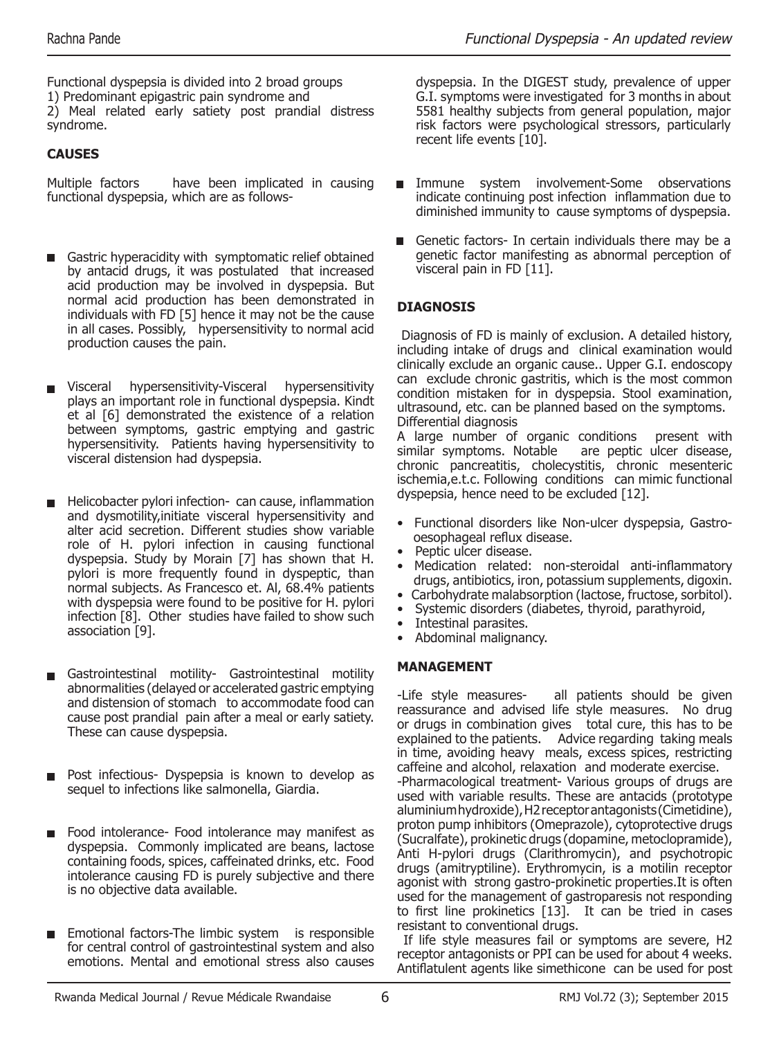Functional dyspepsia is divided into 2 broad groups 1) Predominant epigastric pain syndrome and 2) Meal related early satiety post prandial distress syndrome.

# **CAUSES**

Multiple factors have been implicated in causing functional dyspepsia, which are as follows-

- Gastric hyperacidity with symptomatic relief obtained by antacid drugs, it was postulated that increased acid production may be involved in dyspepsia. But normal acid production has been demonstrated in individuals with FD [5] hence it may not be the cause in all cases. Possibly, hypersensitivity to normal acid production causes the pain.
- Visceral hypersensitivity-Visceral hypersensitivity plays an important role in functional dyspepsia. Kindt et al [6] demonstrated the existence of a relation between symptoms, gastric emptying and gastric hypersensitivity. Patients having hypersensitivity to visceral distension had dyspepsia.
- Helicobacter pylori infection- can cause, inflammation and dysmotility,initiate visceral hypersensitivity and alter acid secretion. Different studies show variable role of H. pylori infection in causing functional dyspepsia. Study by Morain [7] has shown that H. pylori is more frequently found in dyspeptic, than normal subjects. As Francesco et. Al, 68.4% patients with dyspepsia were found to be positive for H. pylori infection [8]. Other studies have failed to show such association [9].
- Gastrointestinal motility- Gastrointestinal motility abnormalities (delayed or accelerated gastric emptying and distension of stomach to accommodate food can cause post prandial pain after a meal or early satiety. These can cause dyspepsia.
- Post infectious- Dyspepsia is known to develop as sequel to infections like salmonella, Giardia.
- Food intolerance- Food intolerance may manifest as dyspepsia. Commonly implicated are beans, lactose containing foods, spices, caffeinated drinks, etc. Food intolerance causing FD is purely subjective and there is no objective data available.
- Emotional factors-The limbic system is responsible for central control of gastrointestinal system and also emotions. Mental and emotional stress also causes

dyspepsia. In the DIGEST study, prevalence of upper G.I. symptoms were investigated for 3 months in about 5581 healthy subjects from general population, major risk factors were psychological stressors, particularly recent life events [10].

- Immune system involvement-Some observations indicate continuing post infection inflammation due to diminished immunity to cause symptoms of dyspepsia.
- Genetic factors- In certain individuals there may be a genetic factor manifesting as abnormal perception of visceral pain in FD [11].

# **DIAGNOSIS**

 Diagnosis of FD is mainly of exclusion. A detailed history, including intake of drugs and clinical examination would clinically exclude an organic cause.. Upper G.I. endoscopy can exclude chronic gastritis, which is the most common condition mistaken for in dyspepsia. Stool examination, ultrasound, etc. can be planned based on the symptoms. Differential diagnosis

A large number of organic conditions present with similar symptoms. Notable are peptic ulcer disease, chronic pancreatitis, cholecystitis, chronic mesenteric ischemia,e.t.c. Following conditions can mimic functional dyspepsia, hence need to be excluded [12].

- Functional disorders like Non-ulcer dyspepsia, Gastro oesophageal reflux disease.
- Peptic ulcer disease.
- Medication related: non-steroidal anti-inflammatory drugs, antibiotics, iron, potassium supplements, digoxin.
- Carbohydrate malabsorption (lactose, fructose, sorbitol).
- Systemic disorders (diabetes, thyroid, parathyroid,
- Intestinal parasites.
- Abdominal malignancy.

## **MANAGEMENT**

-Life style measures- all patients should be given reassurance and advised life style measures. No drug or drugs in combination gives total cure, this has to be explained to the patients. Advice regarding taking meals in time, avoiding heavy meals, excess spices, restricting caffeine and alcohol, relaxation and moderate exercise. -Pharmacological treatment- Various groups of drugs are used with variable results. These are antacids (prototype aluminium hydroxide), H2 receptor antagonists (Cimetidine), proton pump inhibitors (Omeprazole), cytoprotective drugs (Sucralfate), prokinetic drugs (dopamine, metoclopramide), Anti H-pylori drugs (Clarithromycin), and psychotropic drugs (amitryptiline). Erythromycin, is a motilin receptor agonist with strong gastro-prokinetic properties.It is often used for the management of gastroparesis not responding to first line prokinetics [13]. It can be tried in cases resistant to conventional drugs.

 If life style measures fail or symptoms are severe, H2 receptor antagonists or PPI can be used for about 4 weeks. Antiflatulent agents like simethicone can be used for post